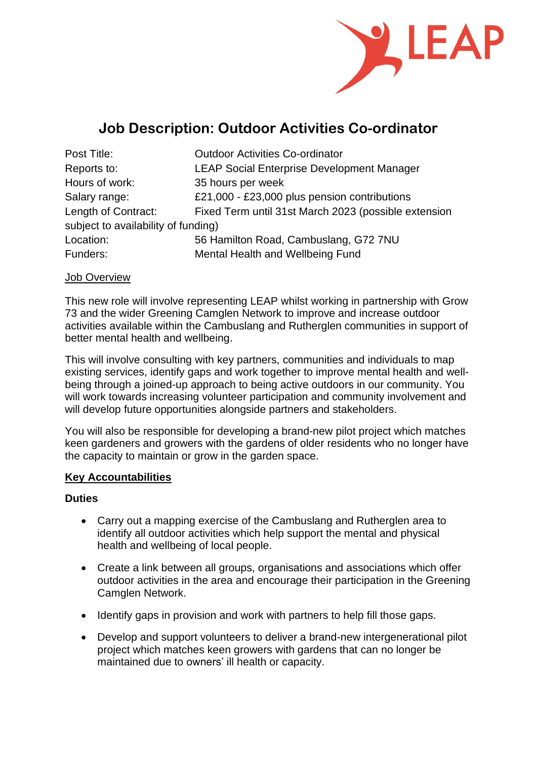

# **Job Description: Outdoor Activities Co-ordinator**

| Post Title:                         | <b>Outdoor Activities Co-ordinator</b>               |
|-------------------------------------|------------------------------------------------------|
| Reports to:                         | <b>LEAP Social Enterprise Development Manager</b>    |
| Hours of work:                      | 35 hours per week                                    |
| Salary range:                       | £21,000 - £23,000 plus pension contributions         |
| Length of Contract:                 | Fixed Term until 31st March 2023 (possible extension |
| subject to availability of funding) |                                                      |
| Location:                           | 56 Hamilton Road, Cambuslang, G72 7NU                |
| Funders:                            | Mental Health and Wellbeing Fund                     |

#### Job Overview

This new role will involve representing LEAP whilst working in partnership with Grow 73 and the wider Greening Camglen Network to improve and increase outdoor activities available within the Cambuslang and Rutherglen communities in support of better mental health and wellbeing.

This will involve consulting with key partners, communities and individuals to map existing services, identify gaps and work together to improve mental health and wellbeing through a joined-up approach to being active outdoors in our community. You will work towards increasing volunteer participation and community involvement and will develop future opportunities alongside partners and stakeholders.

You will also be responsible for developing a brand-new pilot project which matches keen gardeners and growers with the gardens of older residents who no longer have the capacity to maintain or grow in the garden space.

#### **Key Accountabilities**

#### **Duties**

- Carry out a mapping exercise of the Cambuslang and Rutherglen area to identify all outdoor activities which help support the mental and physical health and wellbeing of local people.
- Create a link between all groups, organisations and associations which offer outdoor activities in the area and encourage their participation in the Greening Camglen Network.
- Identify gaps in provision and work with partners to help fill those gaps.
- Develop and support volunteers to deliver a brand-new intergenerational pilot project which matches keen growers with gardens that can no longer be maintained due to owners' ill health or capacity.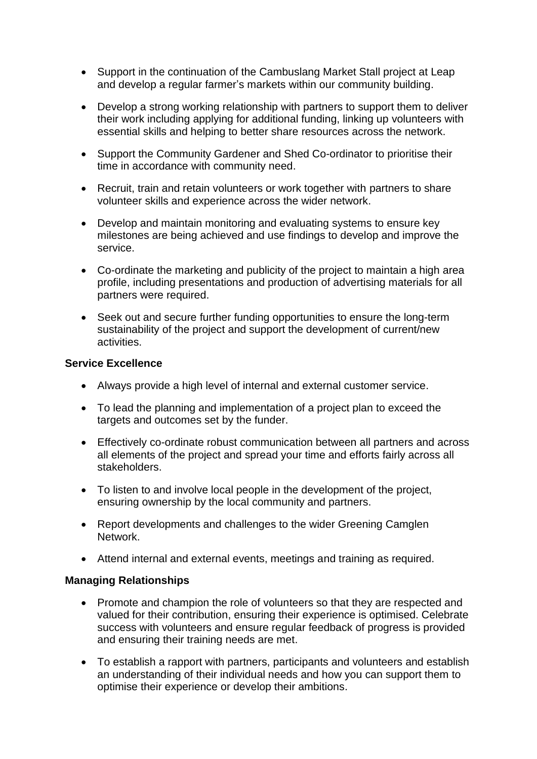- Support in the continuation of the Cambuslang Market Stall project at Leap and develop a regular farmer's markets within our community building.
- Develop a strong working relationship with partners to support them to deliver their work including applying for additional funding, linking up volunteers with essential skills and helping to better share resources across the network.
- Support the Community Gardener and Shed Co-ordinator to prioritise their time in accordance with community need.
- Recruit, train and retain volunteers or work together with partners to share volunteer skills and experience across the wider network.
- Develop and maintain monitoring and evaluating systems to ensure key milestones are being achieved and use findings to develop and improve the service.
- Co-ordinate the marketing and publicity of the project to maintain a high area profile, including presentations and production of advertising materials for all partners were required.
- Seek out and secure further funding opportunities to ensure the long-term sustainability of the project and support the development of current/new activities.

#### **Service Excellence**

- Always provide a high level of internal and external customer service.
- To lead the planning and implementation of a project plan to exceed the targets and outcomes set by the funder.
- Effectively co-ordinate robust communication between all partners and across all elements of the project and spread your time and efforts fairly across all stakeholders.
- To listen to and involve local people in the development of the project, ensuring ownership by the local community and partners.
- Report developments and challenges to the wider Greening Camglen Network.
- Attend internal and external events, meetings and training as required.

#### **Managing Relationships**

- Promote and champion the role of volunteers so that they are respected and valued for their contribution, ensuring their experience is optimised. Celebrate success with volunteers and ensure regular feedback of progress is provided and ensuring their training needs are met.
- To establish a rapport with partners, participants and volunteers and establish an understanding of their individual needs and how you can support them to optimise their experience or develop their ambitions.